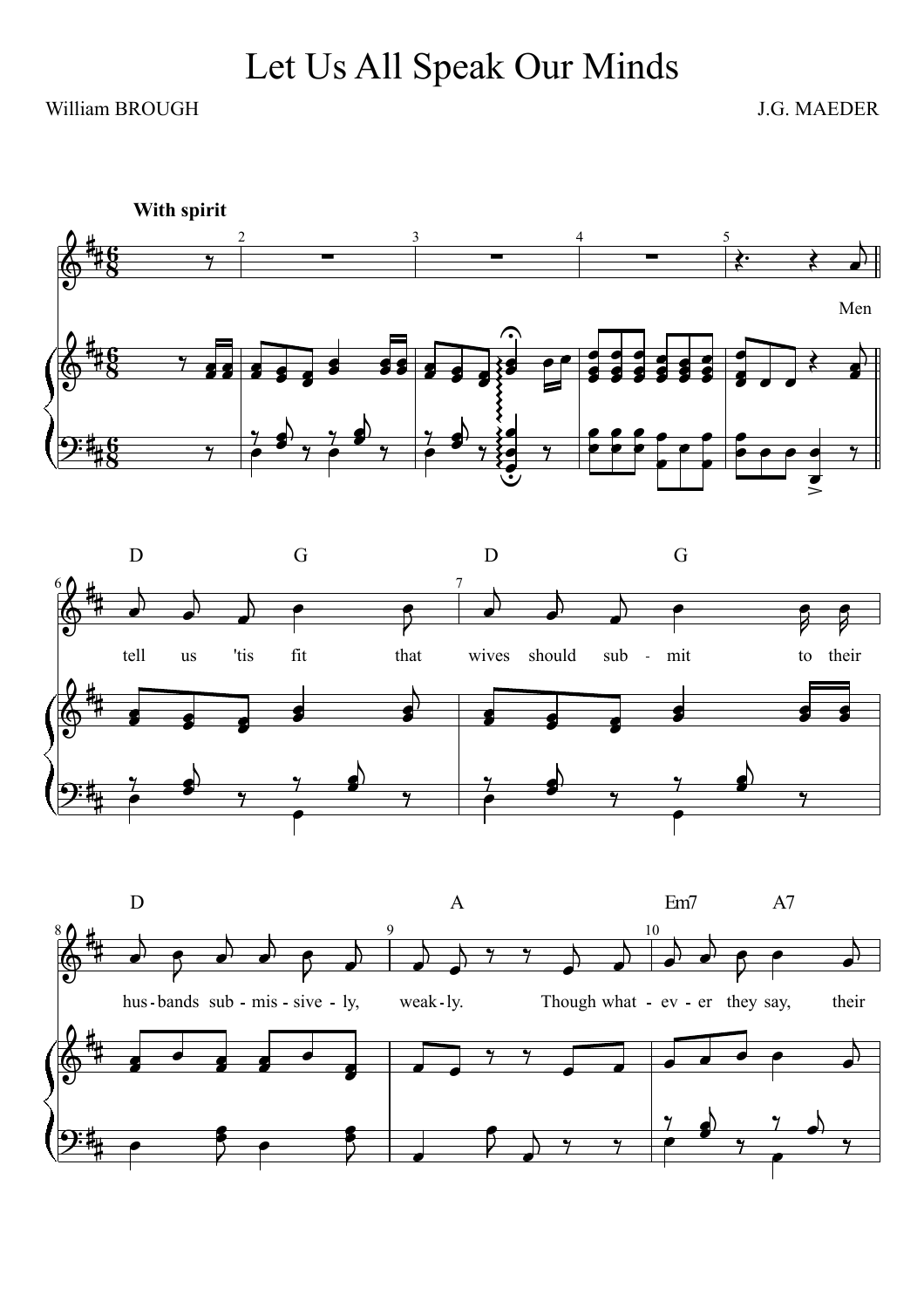## William BROUGH J.G. MAEDER





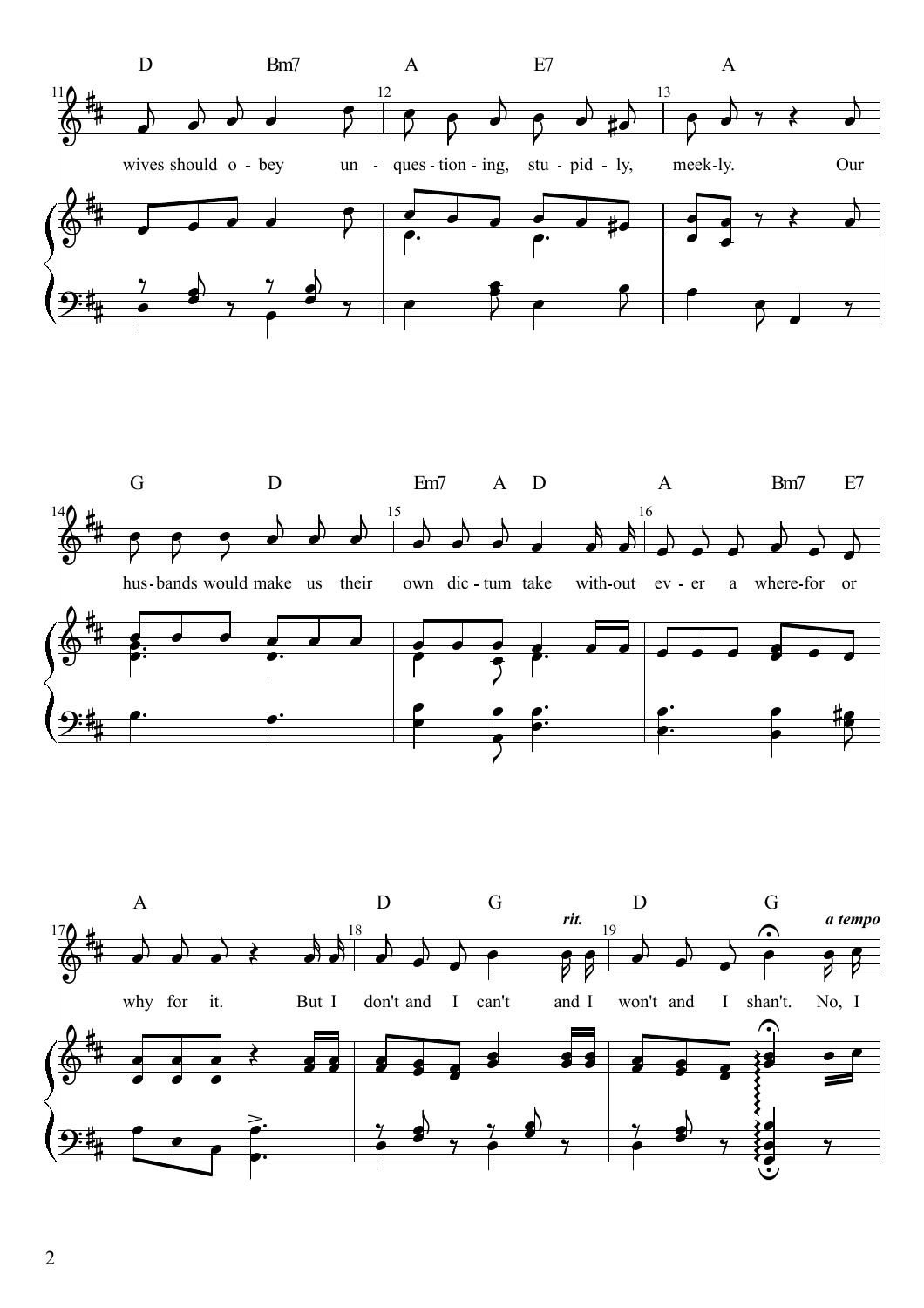



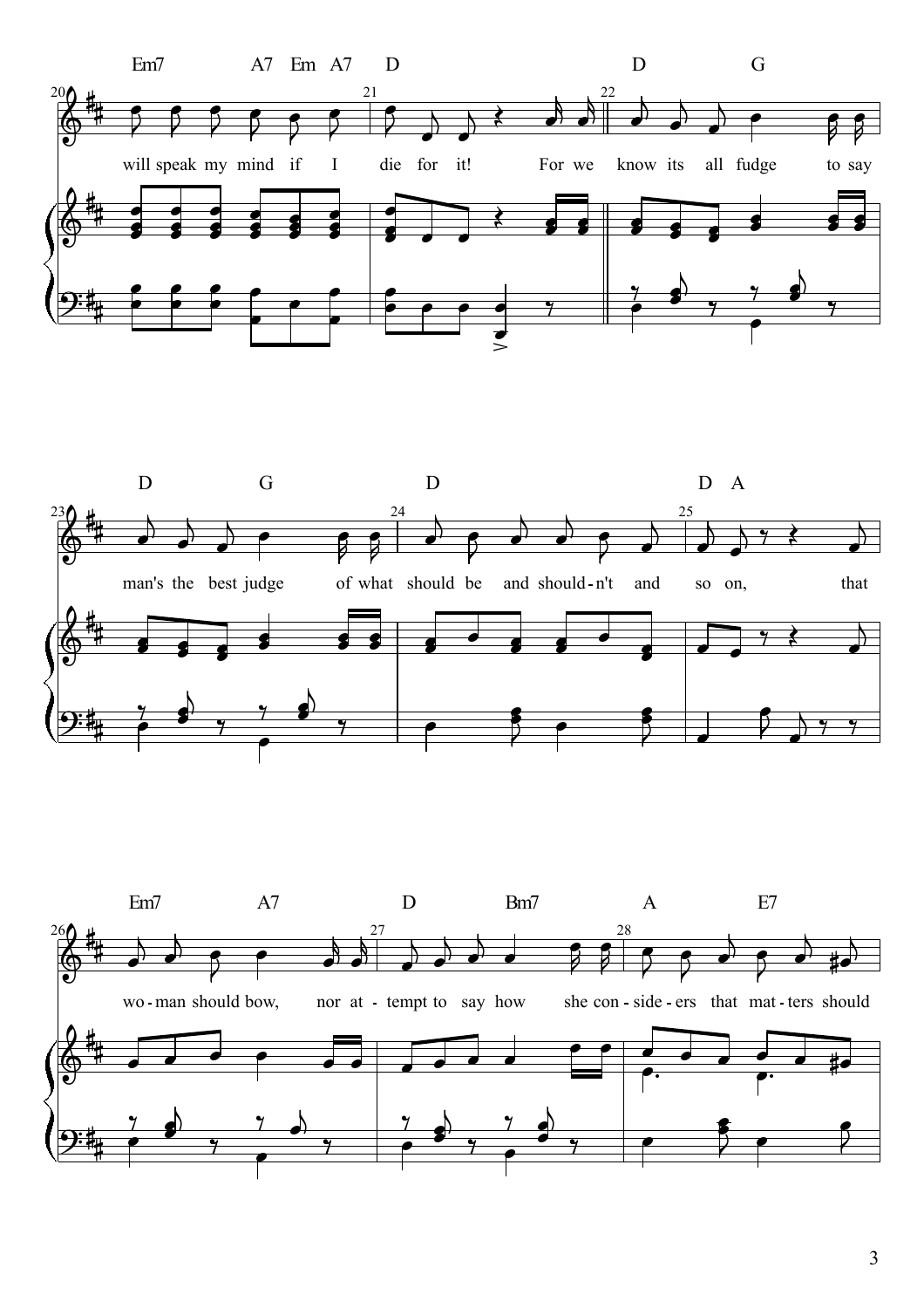



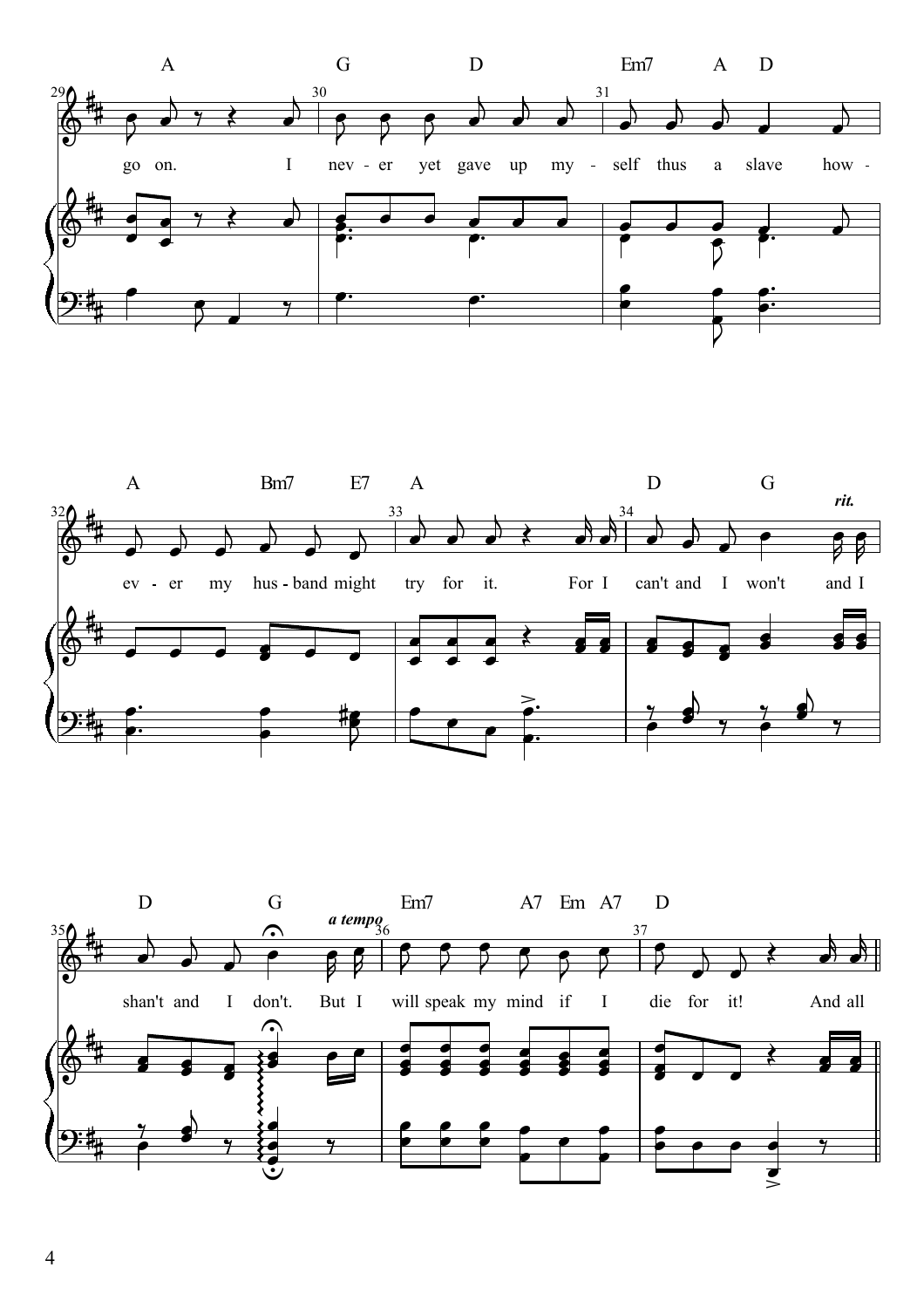



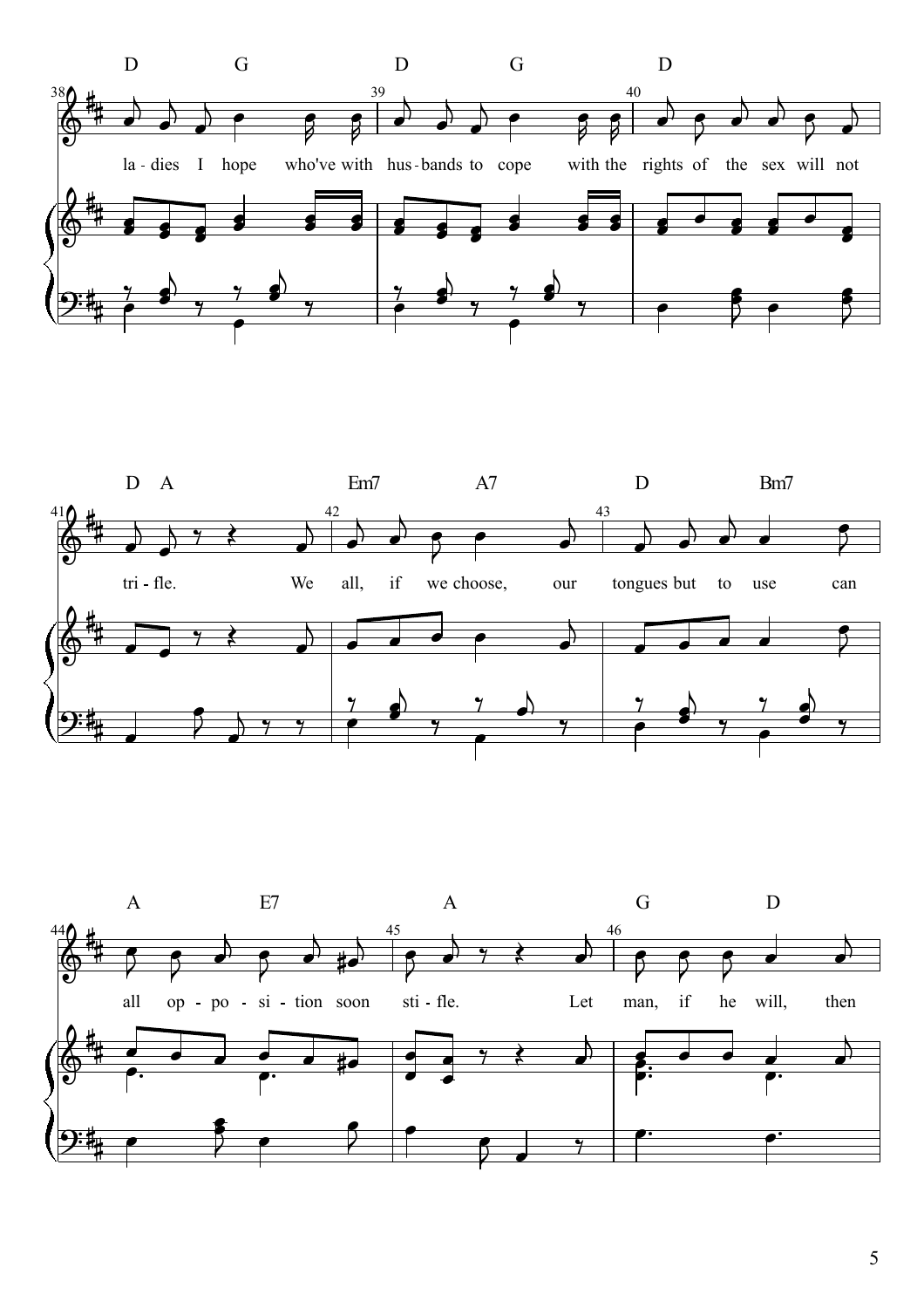